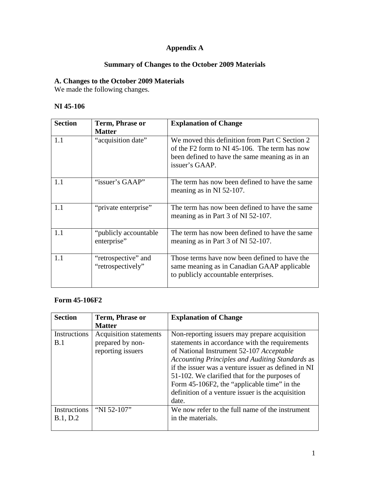# **Appendix A**

# **Summary of Changes to the October 2009 Materials**

### **A. Changes to the October 2009 Materials**

We made the following changes.

#### **NI 45-106**

| <b>Section</b> | Term, Phrase or                          | <b>Explanation of Change</b>                                                                                                                                        |
|----------------|------------------------------------------|---------------------------------------------------------------------------------------------------------------------------------------------------------------------|
| 1.1            | <b>Matter</b><br>"acquisition date"      | We moved this definition from Part C Section 2<br>of the F2 form to NI 45-106. The term has now<br>been defined to have the same meaning as in an<br>issuer's GAAP. |
| 1.1            | "issuer's GAAP"                          | The term has now been defined to have the same<br>meaning as in NI 52-107.                                                                                          |
| 1.1            | "private enterprise"                     | The term has now been defined to have the same<br>meaning as in Part 3 of NI 52-107.                                                                                |
| 1.1            | "publicly accountable"<br>enterprise"    | The term has now been defined to have the same<br>meaning as in Part 3 of NI 52-107.                                                                                |
| 1.1            | "retrospective" and<br>"retrospectively" | Those terms have now been defined to have the<br>same meaning as in Canadian GAAP applicable<br>to publicly accountable enterprises.                                |

#### **Form 45-106F2**

| <b>Section</b>           | Term, Phrase or                                                        | <b>Explanation of Change</b>                                                                                                                                                                                                                                                                                                                                                                                        |
|--------------------------|------------------------------------------------------------------------|---------------------------------------------------------------------------------------------------------------------------------------------------------------------------------------------------------------------------------------------------------------------------------------------------------------------------------------------------------------------------------------------------------------------|
|                          | <b>Matter</b>                                                          |                                                                                                                                                                                                                                                                                                                                                                                                                     |
| Instructions<br>B.1      | <b>Acquisition statements</b><br>prepared by non-<br>reporting issuers | Non-reporting issuers may prepare acquisition<br>statements in accordance with the requirements<br>of National Instrument 52-107 Acceptable<br>Accounting Principles and Auditing Standards as<br>if the issuer was a venture issuer as defined in NI<br>51-102. We clarified that for the purposes of<br>Form 45-106F2, the "applicable time" in the<br>definition of a venture issuer is the acquisition<br>date. |
| Instructions<br>B.1, D.2 | "NI 52-107"                                                            | We now refer to the full name of the instrument<br>in the materials.                                                                                                                                                                                                                                                                                                                                                |